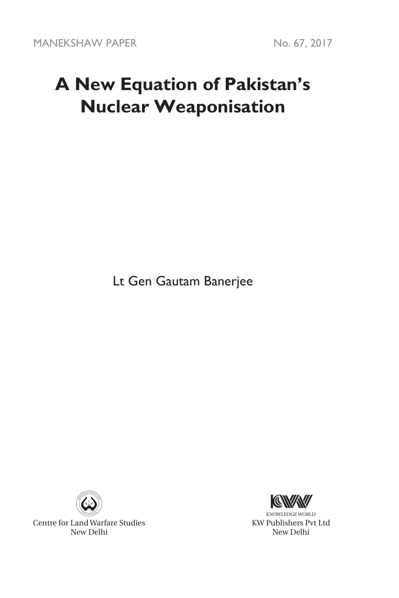# **A New Equation of Pakistan's Nuclear Weaponisation**

Lt Gen Gautam Banerjee



Centre for Land Warfare Studies New Delhi



KNOWLEDGE WORLD KW Publishers Pvt Ltd New Delhi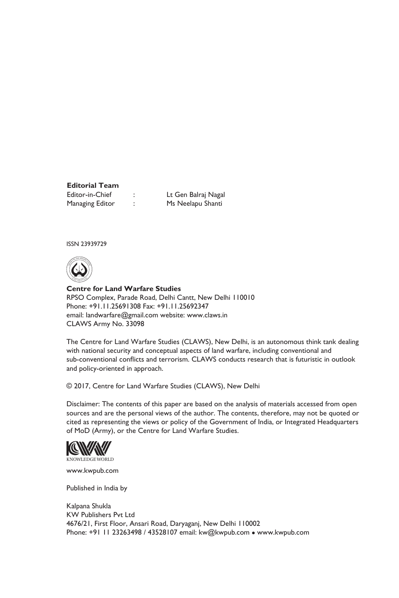# **Editorial Team**

Editor-in-Chief : Lt Gen Balraj Nagal Managing Editor : Ms Neelapu Shanti

ISSN 23939729



**Centre for Land Warfare Studies**  RPSO Complex, Parade Road, Delhi Cantt, New Delhi 110010 Phone: +91.11.25691308 Fax: +91.11.25692347 email: landwarfare@gmail.com website: www.claws.in CLAWS Army No. 33098

The Centre for Land Warfare Studies (CLAWS), New Delhi, is an autonomous think tank dealing with national security and conceptual aspects of land warfare, including conventional and sub-conventional conflicts and terrorism. CLAWS conducts research that is futuristic in outlook and policy-oriented in approach.

© 2017, Centre for Land Warfare Studies (CLAWS), New Delhi

Disclaimer: The contents of this paper are based on the analysis of materials accessed from open sources and are the personal views of the author. The contents, therefore, may not be quoted or cited as representing the views or policy of the Government of India, or Integrated Headquarters of MoD (Army), or the Centre for Land Warfare Studies.



www.kwpub.com

Published in India by

Kalpana Shukla KW Publishers Pvt Ltd 4676/21, First Floor, Ansari Road, Daryaganj, New Delhi 110002 Phone: +91 11 23263498 / 43528107 email: kw@kwpub.com · www.kwpub.com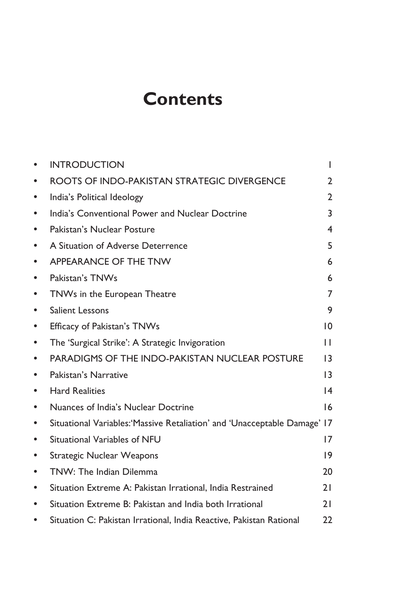## **Contents**

|           | <b>INTRODUCTION</b>                                                      | т                       |
|-----------|--------------------------------------------------------------------------|-------------------------|
|           | ROOTS OF INDO-PAKISTAN STRATEGIC DIVERGENCE                              | $\overline{2}$          |
| ٠         | India's Political Ideology                                               | $\overline{2}$          |
| $\bullet$ | India's Conventional Power and Nuclear Doctrine                          | 3                       |
| $\bullet$ | Pakistan's Nuclear Posture                                               | $\overline{\mathbf{4}}$ |
| $\bullet$ | A Situation of Adverse Deterrence                                        | 5                       |
| $\bullet$ | APPEARANCE OF THE TNW                                                    | 6                       |
| $\bullet$ | Pakistan's TNWs                                                          | 6                       |
| ٠         | TNWs in the European Theatre                                             | 7                       |
| $\bullet$ | <b>Salient Lessons</b>                                                   | 9                       |
| $\bullet$ | Efficacy of Pakistan's TNWs                                              | 10                      |
| ٠         | The 'Surgical Strike': A Strategic Invigoration                          | п                       |
| ٠         | <b>PARADIGMS OF THE INDO-PAKISTAN NUCLEAR POSTURE</b>                    | 13                      |
| ٠         | Pakistan's Narrative                                                     | $\overline{13}$         |
| ٠         | <b>Hard Realities</b>                                                    | $\overline{14}$         |
| ٠         | Nuances of India's Nuclear Doctrine                                      | 16                      |
| $\bullet$ | Situational Variables: Massive Retaliation' and 'Unacceptable Damage' 17 |                         |
| $\bullet$ | Situational Variables of NFU                                             | 17                      |
| ٠         | <b>Strategic Nuclear Weapons</b>                                         | $ 9\rangle$             |
| $\bullet$ | TNW: The Indian Dilemma                                                  | 20                      |
| ٠         | Situation Extreme A: Pakistan Irrational, India Restrained               | 21                      |
| ٠         | Situation Extreme B: Pakistan and India both Irrational                  | 21                      |
| $\bullet$ | Situation C: Pakistan Irrational, India Reactive, Pakistan Rational      | 22                      |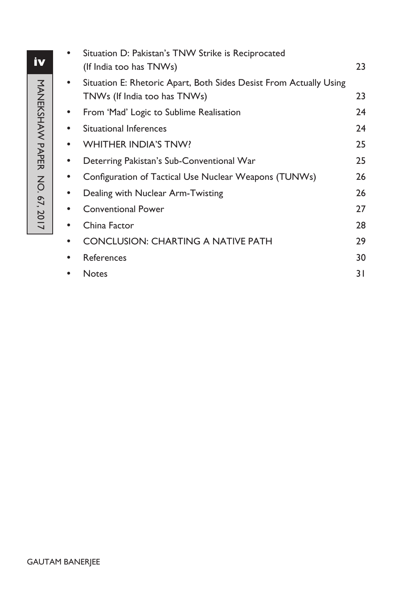|   | Situation D: Pakistan's TNW Strike is Reciprocated<br>(If India too has TNWs)                      | 23 |
|---|----------------------------------------------------------------------------------------------------|----|
|   | Situation E: Rhetoric Apart, Both Sides Desist From Actually Using<br>TNWs (If India too has TNWs) | 23 |
|   | From 'Mad' Logic to Sublime Realisation                                                            | 24 |
|   | <b>Situational Inferences</b>                                                                      | 24 |
|   | <b>WHITHER INDIA'S TNW?</b>                                                                        | 25 |
|   | Deterring Pakistan's Sub-Conventional War                                                          | 25 |
|   | Configuration of Tactical Use Nuclear Weapons (TUNWs)                                              | 26 |
|   | Dealing with Nuclear Arm-Twisting                                                                  | 26 |
|   | <b>Conventional Power</b>                                                                          | 27 |
|   | China Factor                                                                                       | 28 |
|   | <b>CONCLUSION: CHARTING A NATIVE PATH</b>                                                          | 29 |
| ٠ | References                                                                                         | 30 |
|   | <b>Notes</b>                                                                                       | 31 |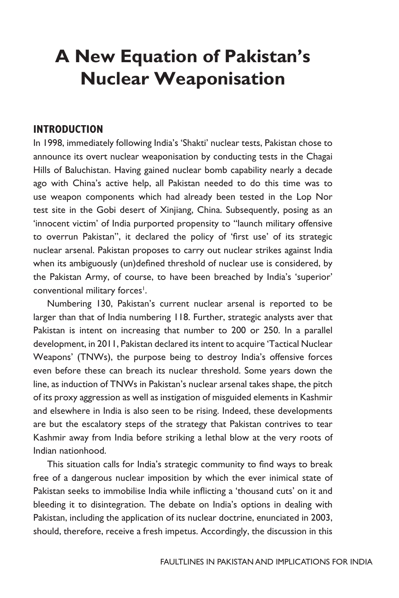## **A New Equation of Pakistan's Nuclear Weaponisation**

#### **INTRODUCTION**

In 1998, immediately following India's 'Shakti' nuclear tests, Pakistan chose to announce its overt nuclear weaponisation by conducting tests in the Chagai Hills of Baluchistan. Having gained nuclear bomb capability nearly a decade ago with China's active help, all Pakistan needed to do this time was to use weapon components which had already been tested in the Lop Nor test site in the Gobi desert of Xinjiang, China. Subsequently, posing as an 'innocent victim' of India purported propensity to "launch military offensive to overrun Pakistan", it declared the policy of 'first use' of its strategic nuclear arsenal. Pakistan proposes to carry out nuclear strikes against India when its ambiguously (un)defined threshold of nuclear use is considered, by the Pakistan Army, of course, to have been breached by India's 'superior' conventional military forces<sup>1</sup>.

Numbering 130, Pakistan's current nuclear arsenal is reported to be larger than that of India numbering 118. Further, strategic analysts aver that Pakistan is intent on increasing that number to 200 or 250. In a parallel development, in 2011, Pakistan declared its intent to acquire 'Tactical Nuclear Weapons' (TNWs), the purpose being to destroy India's offensive forces even before these can breach its nuclear threshold. Some years down the line, as induction of TNWs in Pakistan's nuclear arsenal takes shape, the pitch of its proxy aggression as well as instigation of misguided elements in Kashmir and elsewhere in India is also seen to be rising. Indeed, these developments are but the escalatory steps of the strategy that Pakistan contrives to tear Kashmir away from India before striking a lethal blow at the very roots of Indian nationhood.

This situation calls for India's strategic community to find ways to break free of a dangerous nuclear imposition by which the ever inimical state of Pakistan seeks to immobilise India while inflicting a 'thousand cuts' on it and bleeding it to disintegration. The debate on India's options in dealing with Pakistan, including the application of its nuclear doctrine, enunciated in 2003, should, therefore, receive a fresh impetus. Accordingly, the discussion in this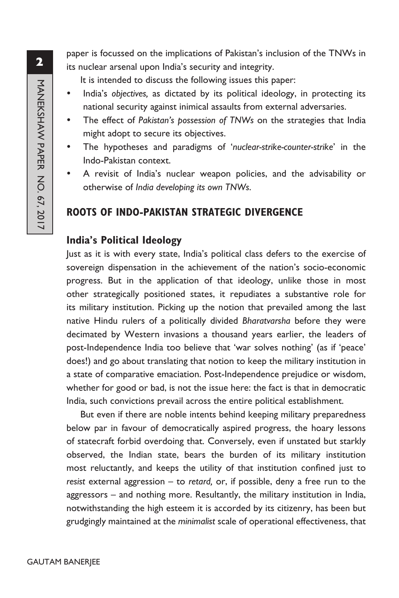paper is focussed on the implications of Pakistan's inclusion of the TNWs in its nuclear arsenal upon India's security and integrity.

It is intended to discuss the following issues this paper:

- India's *objectives*, as dictated by its political ideology, in protecting its national security against inimical assaults from external adversaries.
- The effect of *Pakistan's possession of TNWs* on the strategies that India might adopt to secure its objectives.
- The hypotheses and paradigms of 'nuclear-strike-counter-strike' in the Indo-Pakistan context.
- A revisit of India's nuclear weapon policies, and the advisability or otherwise of *India developing its own TNWs*.

#### **ROOTS OF INDO-PAKISTAN STRATEGIC DIVERGENCE**

#### **India's Political Ideology**

Just as it is with every state, India's political class defers to the exercise of sovereign dispensation in the achievement of the nation's socio-economic progress. But in the application of that ideology, unlike those in most other strategically positioned states, it repudiates a substantive role for its military institution. Picking up the notion that prevailed among the last native Hindu rulers of a politically divided *Bharatvarsha* before they were decimated by Western invasions a thousand years earlier, the leaders of post-Independence India too believe that 'war solves nothing' (as if 'peace' does!) and go about translating that notion to keep the military institution in a state of comparative emaciation. Post-Independence prejudice or wisdom, whether for good or bad, is not the issue here: the fact is that in democratic India, such convictions prevail across the entire political establishment.

But even if there are noble intents behind keeping military preparedness below par in favour of democratically aspired progress, the hoary lessons of statecraft forbid overdoing that. Conversely, even if unstated but starkly observed, the Indian state, bears the burden of its military institution most reluctantly, and keeps the utility of that institution confined just to *resist* external aggression – to *retard,* or, if possible, deny a free run to the aggressors – and nothing more. Resultantly, the military institution in India, notwithstanding the high esteem it is accorded by its citizenry, has been but grudgingly maintained at the *minimalist* scale of operational effectiveness, that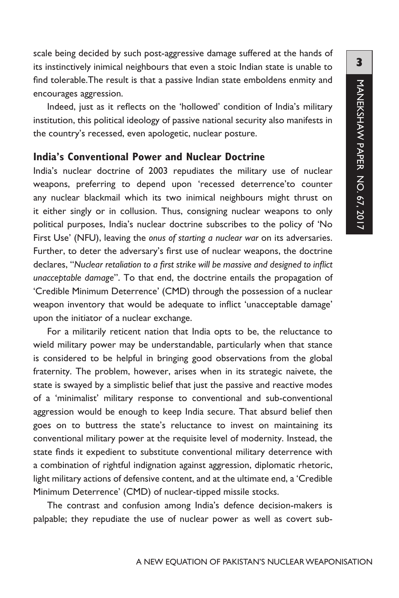scale being decided by such post-aggressive damage suffered at the hands of its instinctively inimical neighbours that even a stoic Indian state is unable to find tolerable.The result is that a passive Indian state emboldens enmity and encourages aggression.

Indeed, just as it reflects on the 'hollowed' condition of India's military institution, this political ideology of passive national security also manifests in the country's recessed, even apologetic, nuclear posture.

#### **India's Conventional Power and Nuclear Doctrine**

India's nuclear doctrine of 2003 repudiates the military use of nuclear weapons, preferring to depend upon 'recessed deterrence'to counter any nuclear blackmail which its two inimical neighbours might thrust on it either singly or in collusion. Thus, consigning nuclear weapons to only political purposes, India's nuclear doctrine subscribes to the policy of 'No First Use' (NFU), leaving the *onus of starting a nuclear war* on its adversaries. Further, to deter the adversary's first use of nuclear weapons, the doctrine declares, "*Nuclear retaliation to a first strike will be massive and designed to inflict unacceptable damage*". To that end, the doctrine entails the propagation of 'Credible Minimum Deterrence' (CMD) through the possession of a nuclear weapon inventory that would be adequate to inflict 'unacceptable damage' upon the initiator of a nuclear exchange.

For a militarily reticent nation that India opts to be, the reluctance to wield military power may be understandable, particularly when that stance is considered to be helpful in bringing good observations from the global fraternity. The problem, however, arises when in its strategic naivete, the state is swayed by a simplistic belief that just the passive and reactive modes of a 'minimalist' military response to conventional and sub-conventional aggression would be enough to keep India secure. That absurd belief then goes on to buttress the state's reluctance to invest on maintaining its conventional military power at the requisite level of modernity. Instead, the state finds it expedient to substitute conventional military deterrence with a combination of rightful indignation against aggression, diplomatic rhetoric, light military actions of defensive content, and at the ultimate end, a 'Credible Minimum Deterrence' (CMD) of nuclear-tipped missile stocks.

The contrast and confusion among India's defence decision-makers is palpable; they repudiate the use of nuclear power as well as covert sub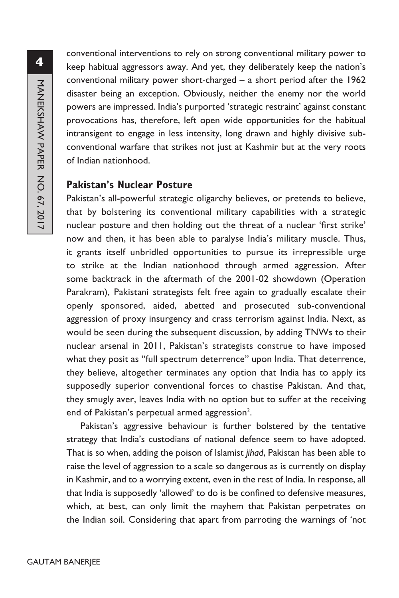conventional interventions to rely on strong conventional military power to keep habitual aggressors away. And yet, they deliberately keep the nation's conventional military power short-charged – a short period after the 1962 disaster being an exception. Obviously, neither the enemy nor the world powers are impressed. India's purported 'strategic restraint' against constant provocations has, therefore, left open wide opportunities for the habitual intransigent to engage in less intensity, long drawn and highly divisive subconventional warfare that strikes not just at Kashmir but at the very roots of Indian nationhood.

#### **Pakistan's Nuclear Posture**

Pakistan's all-powerful strategic oligarchy believes, or pretends to believe, that by bolstering its conventional military capabilities with a strategic nuclear posture and then holding out the threat of a nuclear 'first strike' now and then, it has been able to paralyse India's military muscle. Thus, it grants itself unbridled opportunities to pursue its irrepressible urge to strike at the Indian nationhood through armed aggression. After some backtrack in the aftermath of the 2001-02 showdown (Operation Parakram), Pakistani strategists felt free again to gradually escalate their openly sponsored, aided, abetted and prosecuted sub-conventional aggression of proxy insurgency and crass terrorism against India. Next, as would be seen during the subsequent discussion, by adding TNWs to their nuclear arsenal in 2011, Pakistan's strategists construe to have imposed what they posit as "full spectrum deterrence" upon India. That deterrence, they believe, altogether terminates any option that India has to apply its supposedly superior conventional forces to chastise Pakistan. And that, they smugly aver, leaves India with no option but to suffer at the receiving end of Pakistan's perpetual armed aggression<sup>2</sup>.

Pakistan's aggressive behaviour is further bolstered by the tentative strategy that India's custodians of national defence seem to have adopted. That is so when, adding the poison of Islamist *jihad*, Pakistan has been able to raise the level of aggression to a scale so dangerous as is currently on display in Kashmir, and to a worrying extent, even in the rest of India. In response, all that India is supposedly 'allowed' to do is be confined to defensive measures, which, at best, can only limit the mayhem that Pakistan perpetrates on the Indian soil. Considering that apart from parroting the warnings of 'not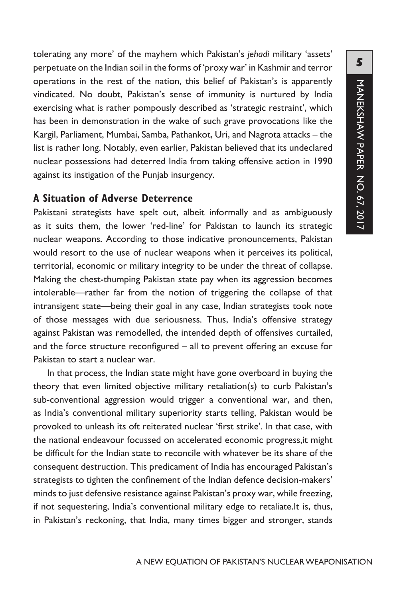tolerating any more' of the mayhem which Pakistan's *jehadi* military 'assets' perpetuate on the Indian soil in the forms of 'proxy war' in Kashmir and terror operations in the rest of the nation, this belief of Pakistan's is apparently vindicated. No doubt, Pakistan's sense of immunity is nurtured by India exercising what is rather pompously described as 'strategic restraint', which has been in demonstration in the wake of such grave provocations like the Kargil, Parliament, Mumbai, Samba, Pathankot, Uri, and Nagrota attacks – the list is rather long. Notably, even earlier, Pakistan believed that its undeclared nuclear possessions had deterred India from taking offensive action in 1990 against its instigation of the Punjab insurgency.

#### **A Situation of Adverse Deterrence**

Pakistani strategists have spelt out, albeit informally and as ambiguously as it suits them, the lower 'red-line' for Pakistan to launch its strategic nuclear weapons. According to those indicative pronouncements, Pakistan would resort to the use of nuclear weapons when it perceives its political, territorial, economic or military integrity to be under the threat of collapse. Making the chest-thumping Pakistan state pay when its aggression becomes intolerable—rather far from the notion of triggering the collapse of that intransigent state—being their goal in any case, Indian strategists took note of those messages with due seriousness. Thus, India's offensive strategy against Pakistan was remodelled, the intended depth of offensives curtailed, and the force structure reconfigured – all to prevent offering an excuse for Pakistan to start a nuclear war.

In that process, the Indian state might have gone overboard in buying the theory that even limited objective military retaliation(s) to curb Pakistan's sub-conventional aggression would trigger a conventional war, and then, as India's conventional military superiority starts telling, Pakistan would be provoked to unleash its oft reiterated nuclear 'first strike'. In that case, with the national endeavour focussed on accelerated economic progress,it might be difficult for the Indian state to reconcile with whatever be its share of the consequent destruction. This predicament of India has encouraged Pakistan's strategists to tighten the confinement of the Indian defence decision-makers' minds to just defensive resistance against Pakistan's proxy war, while freezing, if not sequestering, India's conventional military edge to retaliate.It is, thus, in Pakistan's reckoning, that India, many times bigger and stronger, stands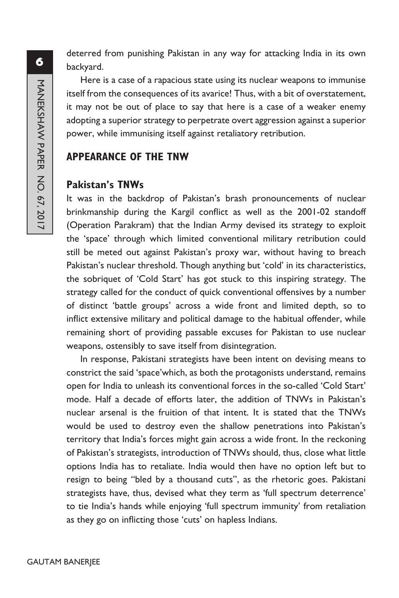deterred from punishing Pakistan in any way for attacking India in its own backyard.

Here is a case of a rapacious state using its nuclear weapons to immunise itself from the consequences of its avarice! Thus, with a bit of overstatement, it may not be out of place to say that here is a case of a weaker enemy adopting a superior strategy to perpetrate overt aggression against a superior power, while immunising itself against retaliatory retribution.

### **APPEARANCE OF THE TNW**

#### **Pakistan's TNWs**

It was in the backdrop of Pakistan's brash pronouncements of nuclear brinkmanship during the Kargil conflict as well as the 2001-02 standoff (Operation Parakram) that the Indian Army devised its strategy to exploit the 'space' through which limited conventional military retribution could still be meted out against Pakistan's proxy war, without having to breach Pakistan's nuclear threshold. Though anything but 'cold' in its characteristics, the sobriquet of 'Cold Start' has got stuck to this inspiring strategy. The strategy called for the conduct of quick conventional offensives by a number of distinct 'battle groups' across a wide front and limited depth, so to inflict extensive military and political damage to the habitual offender, while remaining short of providing passable excuses for Pakistan to use nuclear weapons, ostensibly to save itself from disintegration.

In response, Pakistani strategists have been intent on devising means to constrict the said 'space'which, as both the protagonists understand, remains open for India to unleash its conventional forces in the so-called 'Cold Start' mode. Half a decade of efforts later, the addition of TNWs in Pakistan's nuclear arsenal is the fruition of that intent. It is stated that the TNWs would be used to destroy even the shallow penetrations into Pakistan's territory that India's forces might gain across a wide front. In the reckoning of Pakistan's strategists, introduction of TNWs should, thus, close what little options India has to retaliate. India would then have no option left but to resign to being "bled by a thousand cuts", as the rhetoric goes. Pakistani strategists have, thus, devised what they term as 'full spectrum deterrence' to tie India's hands while enjoying 'full spectrum immunity' from retaliation as they go on inflicting those 'cuts' on hapless Indians.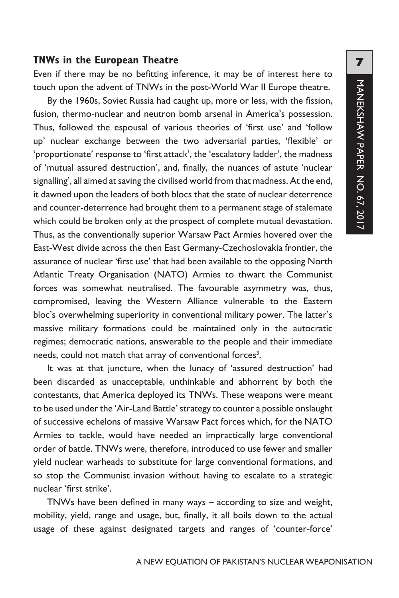#### **TNWs in the European Theatre**

Even if there may be no befitting inference, it may be of interest here to touch upon the advent of TNWs in the post-World War II Europe theatre.

By the 1960s, Soviet Russia had caught up, more or less, with the fission, fusion, thermo-nuclear and neutron bomb arsenal in America's possession. Thus, followed the espousal of various theories of 'first use' and 'follow up' nuclear exchange between the two adversarial parties, 'flexible' or 'proportionate' response to 'first attack', the 'escalatory ladder', the madness of 'mutual assured destruction', and, finally, the nuances of astute 'nuclear signalling', all aimed at saving the civilised world from that madness. At the end, it dawned upon the leaders of both blocs that the state of nuclear deterrence and counter-deterrence had brought them to a permanent stage of stalemate which could be broken only at the prospect of complete mutual devastation. Thus, as the conventionally superior Warsaw Pact Armies hovered over the East-West divide across the then East Germany-Czechoslovakia frontier, the assurance of nuclear 'first use' that had been available to the opposing North Atlantic Treaty Organisation (NATO) Armies to thwart the Communist forces was somewhat neutralised. The favourable asymmetry was, thus, compromised, leaving the Western Alliance vulnerable to the Eastern bloc's overwhelming superiority in conventional military power. The latter's massive military formations could be maintained only in the autocratic regimes; democratic nations, answerable to the people and their immediate needs, could not match that array of conventional forces<sup>3</sup>.

It was at that juncture, when the lunacy of 'assured destruction' had been discarded as unacceptable, unthinkable and abhorrent by both the contestants, that America deployed its TNWs. These weapons were meant to be used under the 'Air-Land Battle' strategy to counter a possible onslaught of successive echelons of massive Warsaw Pact forces which, for the NATO Armies to tackle, would have needed an impractically large conventional order of battle. TNWs were, therefore, introduced to use fewer and smaller yield nuclear warheads to substitute for large conventional formations, and so stop the Communist invasion without having to escalate to a strategic nuclear 'first strike'.

TNWs have been defined in many ways – according to size and weight, mobility, yield, range and usage, but, finally, it all boils down to the actual usage of these against designated targets and ranges of 'counter-force'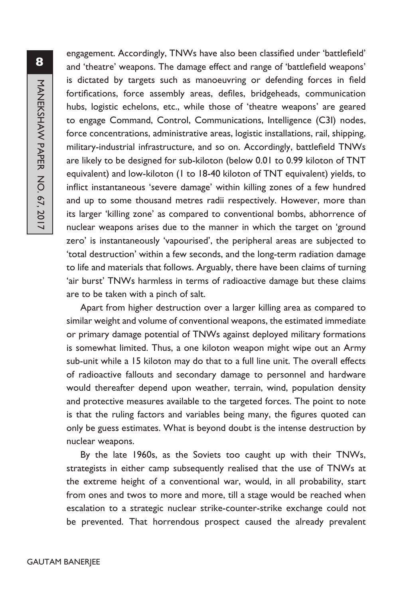engagement. Accordingly, TNWs have also been classified under 'battlefield' and 'theatre' weapons. The damage effect and range of 'battlefield weapons' is dictated by targets such as manoeuvring or defending forces in field fortifications, force assembly areas, defiles, bridgeheads, communication hubs, logistic echelons, etc., while those of 'theatre weapons' are geared to engage Command, Control, Communications, Intelligence (C3I) nodes, force concentrations, administrative areas, logistic installations, rail, shipping, military-industrial infrastructure, and so on. Accordingly, battlefield TNWs are likely to be designed for sub-kiloton (below 0.01 to 0.99 kiloton of TNT equivalent) and low-kiloton (1 to 18-40 kiloton of TNT equivalent) yields, to inflict instantaneous 'severe damage' within killing zones of a few hundred and up to some thousand metres radii respectively. However, more than its larger 'killing zone' as compared to conventional bombs, abhorrence of nuclear weapons arises due to the manner in which the target on 'ground zero' is instantaneously 'vapourised', the peripheral areas are subjected to 'total destruction' within a few seconds, and the long-term radiation damage to life and materials that follows. Arguably, there have been claims of turning 'air burst' TNWs harmless in terms of radioactive damage but these claims are to be taken with a pinch of salt.

Apart from higher destruction over a larger killing area as compared to similar weight and volume of conventional weapons, the estimated immediate or primary damage potential of TNWs against deployed military formations is somewhat limited. Thus, a one kiloton weapon might wipe out an Army sub-unit while a 15 kiloton may do that to a full line unit. The overall effects of radioactive fallouts and secondary damage to personnel and hardware would thereafter depend upon weather, terrain, wind, population density and protective measures available to the targeted forces. The point to note is that the ruling factors and variables being many, the figures quoted can only be guess estimates. What is beyond doubt is the intense destruction by nuclear weapons.

By the late 1960s, as the Soviets too caught up with their TNWs, strategists in either camp subsequently realised that the use of TNWs at the extreme height of a conventional war, would, in all probability, start from ones and twos to more and more, till a stage would be reached when escalation to a strategic nuclear strike-counter-strike exchange could not be prevented. That horrendous prospect caused the already prevalent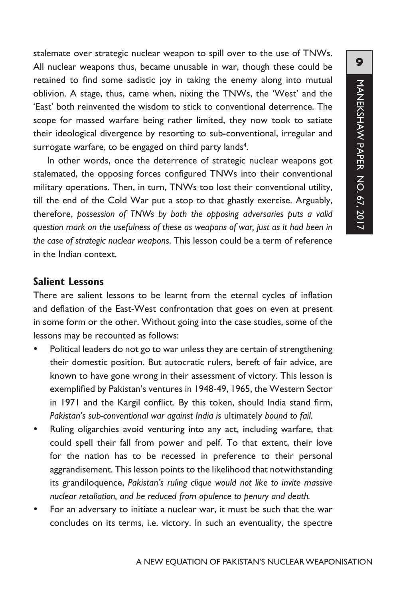stalemate over strategic nuclear weapon to spill over to the use of TNWs. All nuclear weapons thus, became unusable in war, though these could be retained to find some sadistic joy in taking the enemy along into mutual oblivion. A stage, thus, came when, nixing the TNWs, the 'West' and the 'East' both reinvented the wisdom to stick to conventional deterrence. The scope for massed warfare being rather limited, they now took to satiate their ideological divergence by resorting to sub-conventional, irregular and surrogate warfare, to be engaged on third party lands<sup>4</sup>.

In other words, once the deterrence of strategic nuclear weapons got stalemated, the opposing forces configured TNWs into their conventional military operations. Then, in turn, TNWs too lost their conventional utility, till the end of the Cold War put a stop to that ghastly exercise. Arguably, therefore, *possession of TNWs by both the opposing adversaries puts a valid question mark on the usefulness of these as weapons of war, just as it had been in the case of strategic nuclear weapons*. This lesson could be a term of reference in the Indian context.

#### **Salient Lessons**

There are salient lessons to be learnt from the eternal cycles of inflation and deflation of the East-West confrontation that goes on even at present in some form or the other. Without going into the case studies, some of the lessons may be recounted as follows:

- Political leaders do not go to war unless they are certain of strengthening their domestic position. But autocratic rulers, bereft of fair advice, are known to have gone wrong in their assessment of victory. This lesson is exemplified by Pakistan's ventures in 1948-49, 1965, the Western Sector in 1971 and the Kargil conflict. By this token, should India stand firm, *Pakistan's sub-conventional war against India is* ultimately *bound to fail*.
- Ruling oligarchies avoid venturing into any act, including warfare, that could spell their fall from power and pelf. To that extent, their love for the nation has to be recessed in preference to their personal aggrandisement. This lesson points to the likelihood that notwithstanding its grandiloquence, *Pakistan's ruling clique would not like to invite massive nuclear retaliation, and be reduced from opulence to penury and death.*
- For an adversary to initiate a nuclear war, it must be such that the war concludes on its terms, i.e. victory. In such an eventuality, the spectre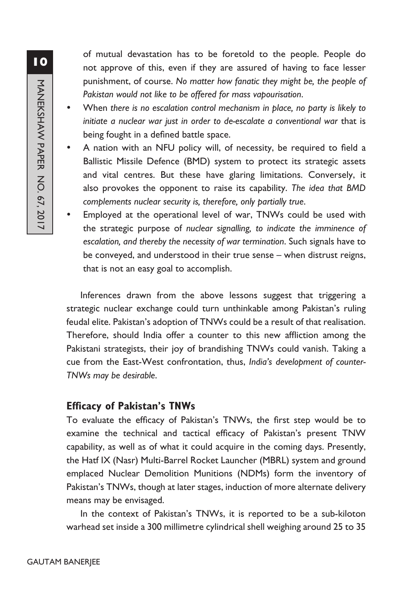of mutual devastation has to be foretold to the people. People do not approve of this, even if they are assured of having to face lesser punishment, of course. *No matter how fanatic they might be, the people of Pakistan would not like to be offered for mass vapourisation*.

- y When *there is no escalation control mechanism in place, no party is likely to initiate a nuclear war just in order to de-escalate a conventional war* that is being fought in a defined battle space.
- A nation with an NFU policy will, of necessity, be required to field a Ballistic Missile Defence (BMD) system to protect its strategic assets and vital centres. But these have glaring limitations. Conversely, it also provokes the opponent to raise its capability. *The idea that BMD complements nuclear security is, therefore, only partially true*.
- Employed at the operational level of war, TNWs could be used with the strategic purpose of *nuclear signalling, to indicate the imminence of escalation, and thereby the necessity of war termination*. Such signals have to be conveyed, and understood in their true sense – when distrust reigns, that is not an easy goal to accomplish.

Inferences drawn from the above lessons suggest that triggering a strategic nuclear exchange could turn unthinkable among Pakistan's ruling feudal elite. Pakistan's adoption of TNWs could be a result of that realisation. Therefore, should India offer a counter to this new affliction among the Pakistani strategists, their joy of brandishing TNWs could vanish. Taking a cue from the East-West confrontation, thus, *India's development of counter-TNWs may be desirable*.

#### **Efficacy of Pakistan's TNWs**

To evaluate the efficacy of Pakistan's TNWs, the first step would be to examine the technical and tactical efficacy of Pakistan's present TNW capability, as well as of what it could acquire in the coming days. Presently, the Hatf IX (Nasr) Multi-Barrel Rocket Launcher (MBRL) system and ground emplaced Nuclear Demolition Munitions (NDMs) form the inventory of Pakistan's TNWs, though at later stages, induction of more alternate delivery means may be envisaged.

In the context of Pakistan's TNWs, it is reported to be a sub-kiloton warhead set inside a 300 millimetre cylindrical shell weighing around 25 to 35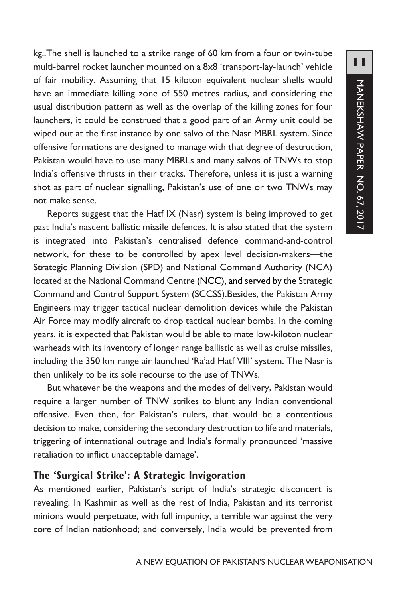kg..The shell is launched to a strike range of 60 km from a four or twin-tube multi-barrel rocket launcher mounted on a 8x8 'transport-lay-launch' vehicle of fair mobility. Assuming that 15 kiloton equivalent nuclear shells would have an immediate killing zone of 550 metres radius, and considering the usual distribution pattern as well as the overlap of the killing zones for four launchers, it could be construed that a good part of an Army unit could be wiped out at the first instance by one salvo of the Nasr MBRL system. Since offensive formations are designed to manage with that degree of destruction, Pakistan would have to use many MBRLs and many salvos of TNWs to stop India's offensive thrusts in their tracks. Therefore, unless it is just a warning shot as part of nuclear signalling, Pakistan's use of one or two TNWs may not make sense.

Reports suggest that the Hatf IX (Nasr) system is being improved to get past India's nascent ballistic missile defences. It is also stated that the system is integrated into Pakistan's centralised defence command-and-control network, for these to be controlled by apex level decision-makers—the Strategic Planning Division (SPD) and National Command Authority (NCA) located at the National Command Centre (NCC), and served by the Strategic Command and Control Support System (SCCSS).Besides, the Pakistan Army Engineers may trigger tactical nuclear demolition devices while the Pakistan Air Force may modify aircraft to drop tactical nuclear bombs. In the coming years, it is expected that Pakistan would be able to mate low-kiloton nuclear warheads with its inventory of longer range ballistic as well as cruise missiles, including the 350 km range air launched 'Ra'ad Hatf VIII' system. The Nasr is then unlikely to be its sole recourse to the use of TNWs.

But whatever be the weapons and the modes of delivery, Pakistan would require a larger number of TNW strikes to blunt any Indian conventional offensive. Even then, for Pakistan's rulers, that would be a contentious decision to make, considering the secondary destruction to life and materials, triggering of international outrage and India's formally pronounced 'massive retaliation to inflict unacceptable damage'.

#### **The 'Surgical Strike': A Strategic Invigoration**

As mentioned earlier, Pakistan's script of India's strategic disconcert is revealing. In Kashmir as well as the rest of India, Pakistan and its terrorist minions would perpetuate, with full impunity, a terrible war against the very core of Indian nationhood; and conversely, India would be prevented from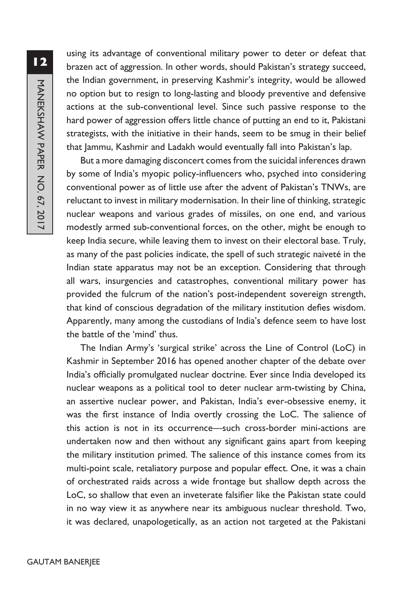**12**MANEKSHAW PAPER NO. 67, 2017 MANEKSHAW PAPER NO. 67, 2017

using its advantage of conventional military power to deter or defeat that brazen act of aggression. In other words, should Pakistan's strategy succeed, the Indian government, in preserving Kashmir's integrity, would be allowed no option but to resign to long-lasting and bloody preventive and defensive actions at the sub-conventional level. Since such passive response to the hard power of aggression offers little chance of putting an end to it, Pakistani strategists, with the initiative in their hands, seem to be smug in their belief that Jammu, Kashmir and Ladakh would eventually fall into Pakistan's lap.

But a more damaging disconcert comes from the suicidal inferences drawn by some of India's myopic policy-influencers who, psyched into considering conventional power as of little use after the advent of Pakistan's TNWs, are reluctant to invest in military modernisation. In their line of thinking, strategic nuclear weapons and various grades of missiles, on one end, and various modestly armed sub-conventional forces, on the other, might be enough to keep India secure, while leaving them to invest on their electoral base. Truly, as many of the past policies indicate, the spell of such strategic naiveté in the Indian state apparatus may not be an exception. Considering that through all wars, insurgencies and catastrophes, conventional military power has provided the fulcrum of the nation's post-independent sovereign strength, that kind of conscious degradation of the military institution defies wisdom. Apparently, many among the custodians of India's defence seem to have lost the battle of the 'mind' thus.

The Indian Army's 'surgical strike' across the Line of Control (LoC) in Kashmir in September 2016 has opened another chapter of the debate over India's officially promulgated nuclear doctrine. Ever since India developed its nuclear weapons as a political tool to deter nuclear arm-twisting by China, an assertive nuclear power, and Pakistan, India's ever-obsessive enemy, it was the first instance of India overtly crossing the LoC. The salience of this action is not in its occurrence—such cross-border mini-actions are undertaken now and then without any significant gains apart from keeping the military institution primed. The salience of this instance comes from its multi-point scale, retaliatory purpose and popular effect. One, it was a chain of orchestrated raids across a wide frontage but shallow depth across the LoC, so shallow that even an inveterate falsifier like the Pakistan state could in no way view it as anywhere near its ambiguous nuclear threshold. Two, it was declared, unapologetically, as an action not targeted at the Pakistani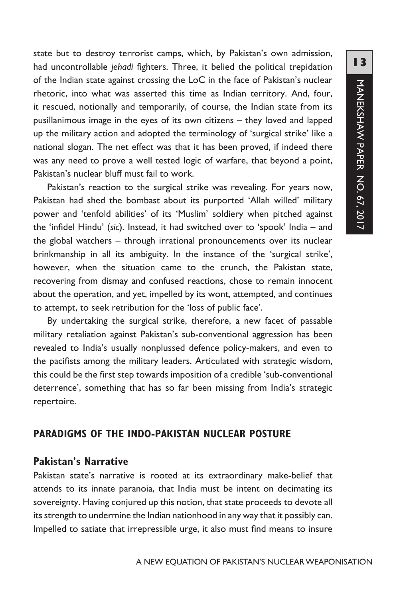state but to destroy terrorist camps, which, by Pakistan's own admission, had uncontrollable *jehadi* fighters. Three, it belied the political trepidation of the Indian state against crossing the LoC in the face of Pakistan's nuclear rhetoric, into what was asserted this time as Indian territory. And, four, it rescued, notionally and temporarily, of course, the Indian state from its pusillanimous image in the eyes of its own citizens – they loved and lapped up the military action and adopted the terminology of 'surgical strike' like a national slogan. The net effect was that it has been proved, if indeed there was any need to prove a well tested logic of warfare, that beyond a point, Pakistan's nuclear bluff must fail to work.

Pakistan's reaction to the surgical strike was revealing. For years now, Pakistan had shed the bombast about its purported 'Allah willed' military power and 'tenfold abilities' of its 'Muslim' soldiery when pitched against the 'infidel Hindu' (*sic*). Instead, it had switched over to 'spook' India – and the global watchers – through irrational pronouncements over its nuclear brinkmanship in all its ambiguity. In the instance of the 'surgical strike', however, when the situation came to the crunch, the Pakistan state, recovering from dismay and confused reactions, chose to remain innocent about the operation, and yet, impelled by its wont, attempted, and continues to attempt, to seek retribution for the 'loss of public face'.

By undertaking the surgical strike, therefore, a new facet of passable military retaliation against Pakistan's sub-conventional aggression has been revealed to India's usually nonplussed defence policy-makers, and even to the pacifists among the military leaders. Articulated with strategic wisdom, this could be the first step towards imposition of a credible 'sub-conventional deterrence', something that has so far been missing from India's strategic repertoire.

#### **PARADIGMS OF THE INDO-PAKISTAN NUCLEAR POSTURE**

#### **Pakistan's Narrative**

Pakistan state's narrative is rooted at its extraordinary make-belief that attends to its innate paranoia, that India must be intent on decimating its sovereignty. Having conjured up this notion, that state proceeds to devote all its strength to undermine the Indian nationhood in any way that it possibly can. Impelled to satiate that irrepressible urge, it also must find means to insure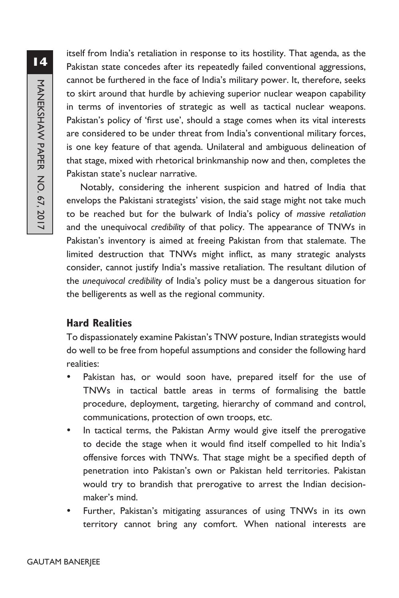**14**MANEKSHAW PAPER NO. 67, 2017 MANEKSHAW PAPER NO. 67, 2017

itself from India's retaliation in response to its hostility. That agenda, as the Pakistan state concedes after its repeatedly failed conventional aggressions, cannot be furthered in the face of India's military power. It, therefore, seeks to skirt around that hurdle by achieving superior nuclear weapon capability in terms of inventories of strategic as well as tactical nuclear weapons. Pakistan's policy of 'first use', should a stage comes when its vital interests are considered to be under threat from India's conventional military forces, is one key feature of that agenda. Unilateral and ambiguous delineation of that stage, mixed with rhetorical brinkmanship now and then, completes the Pakistan state's nuclear narrative.

Notably, considering the inherent suspicion and hatred of India that envelops the Pakistani strategists' vision, the said stage might not take much to be reached but for the bulwark of India's policy of *massive retaliation* and the unequivocal *credibility* of that policy. The appearance of TNWs in Pakistan's inventory is aimed at freeing Pakistan from that stalemate. The limited destruction that TNWs might inflict, as many strategic analysts consider, cannot justify India's massive retaliation. The resultant dilution of the *unequivocal credibility* of India's policy must be a dangerous situation for the belligerents as well as the regional community.

#### **Hard Realities**

To dispassionately examine Pakistan's TNW posture, Indian strategists would do well to be free from hopeful assumptions and consider the following hard realities:

- Pakistan has, or would soon have, prepared itself for the use of TNWs in tactical battle areas in terms of formalising the battle procedure, deployment, targeting, hierarchy of command and control, communications, protection of own troops, etc.
- In tactical terms, the Pakistan Army would give itself the prerogative to decide the stage when it would find itself compelled to hit India's offensive forces with TNWs. That stage might be a specified depth of penetration into Pakistan's own or Pakistan held territories. Pakistan would try to brandish that prerogative to arrest the Indian decisionmaker's mind.
- Further, Pakistan's mitigating assurances of using TNWs in its own territory cannot bring any comfort. When national interests are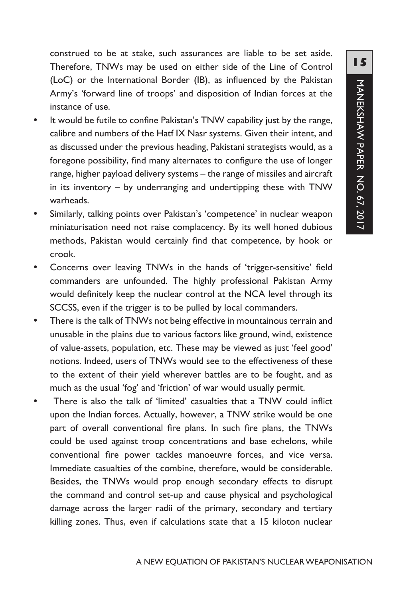construed to be at stake, such assurances are liable to be set aside. Therefore, TNWs may be used on either side of the Line of Control (LoC) or the International Border (IB), as influenced by the Pakistan Army's 'forward line of troops' and disposition of Indian forces at the instance of use.

- It would be futile to confine Pakistan's TNW capability just by the range, calibre and numbers of the Hatf IX Nasr systems. Given their intent, and as discussed under the previous heading, Pakistani strategists would, as a foregone possibility, find many alternates to configure the use of longer range, higher payload delivery systems – the range of missiles and aircraft in its inventory – by underranging and undertipping these with TNW warheads.
- Similarly, talking points over Pakistan's 'competence' in nuclear weapon miniaturisation need not raise complacency. By its well honed dubious methods, Pakistan would certainly find that competence, by hook or crook.
- Concerns over leaving TNWs in the hands of 'trigger-sensitive' field commanders are unfounded. The highly professional Pakistan Army would definitely keep the nuclear control at the NCA level through its SCCSS, even if the trigger is to be pulled by local commanders.
- There is the talk of TNWs not being effective in mountainous terrain and unusable in the plains due to various factors like ground, wind, existence of value-assets, population, etc. These may be viewed as just 'feel good' notions. Indeed, users of TNWs would see to the effectiveness of these to the extent of their yield wherever battles are to be fought, and as much as the usual 'fog' and 'friction' of war would usually permit.
- There is also the talk of 'limited' casualties that a TNW could inflict upon the Indian forces. Actually, however, a TNW strike would be one part of overall conventional fire plans. In such fire plans, the TNWs could be used against troop concentrations and base echelons, while conventional fire power tackles manoeuvre forces, and vice versa. Immediate casualties of the combine, therefore, would be considerable. Besides, the TNWs would prop enough secondary effects to disrupt the command and control set-up and cause physical and psychological damage across the larger radii of the primary, secondary and tertiary killing zones. Thus, even if calculations state that a 15 kiloton nuclear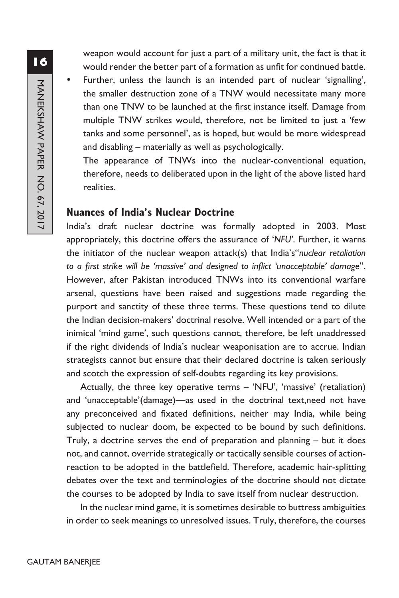weapon would account for just a part of a military unit, the fact is that it would render the better part of a formation as unfit for continued battle.

Further, unless the launch is an intended part of nuclear 'signalling', the smaller destruction zone of a TNW would necessitate many more than one TNW to be launched at the first instance itself. Damage from multiple TNW strikes would, therefore, not be limited to just a 'few tanks and some personnel', as is hoped, but would be more widespread and disabling – materially as well as psychologically.

The appearance of TNWs into the nuclear-conventional equation, therefore, needs to deliberated upon in the light of the above listed hard realities.

#### **Nuances of India's Nuclear Doctrine**

India's draft nuclear doctrine was formally adopted in 2003. Most appropriately, this doctrine offers the assurance of '*NFU'*. Further, it warns the initiator of the nuclear weapon attack(s) that India's"*nuclear retaliation to a first strike will be 'massive' and designed to inflict 'unacceptable' damage*". However, after Pakistan introduced TNWs into its conventional warfare arsenal, questions have been raised and suggestions made regarding the purport and sanctity of these three terms. These questions tend to dilute the Indian decision-makers' doctrinal resolve. Well intended or a part of the inimical 'mind game', such questions cannot, therefore, be left unaddressed if the right dividends of India's nuclear weaponisation are to accrue. Indian strategists cannot but ensure that their declared doctrine is taken seriously and scotch the expression of self-doubts regarding its key provisions.

Actually, the three key operative terms – 'NFU', 'massive' (retaliation) and 'unacceptable'(damage)—as used in the doctrinal text,need not have any preconceived and fixated definitions, neither may India, while being subjected to nuclear doom, be expected to be bound by such definitions. Truly, a doctrine serves the end of preparation and planning – but it does not, and cannot, override strategically or tactically sensible courses of actionreaction to be adopted in the battlefield. Therefore, academic hair-splitting debates over the text and terminologies of the doctrine should not dictate the courses to be adopted by India to save itself from nuclear destruction.

In the nuclear mind game, it is sometimes desirable to buttress ambiguities in order to seek meanings to unresolved issues. Truly, therefore, the courses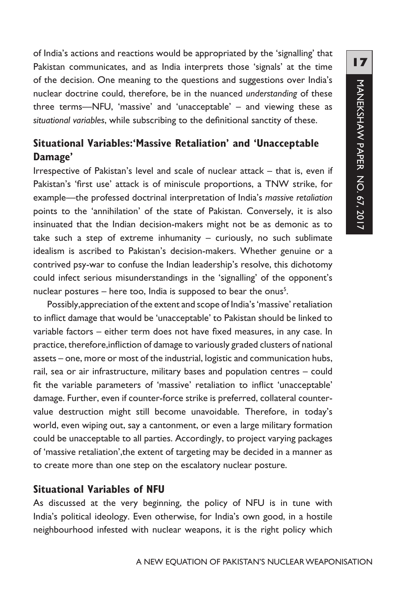of India's actions and reactions would be appropriated by the 'signalling' that Pakistan communicates, and as India interprets those 'signals' at the time of the decision. One meaning to the questions and suggestions over India's nuclear doctrine could, therefore, be in the nuanced *understanding* of these three terms—NFU, 'massive' and 'unacceptable' – and viewing these as *situational variables*, while subscribing to the definitional sanctity of these.

## **Situational Variables:'Massive Retaliation' and 'Unacceptable Damage'**

Irrespective of Pakistan's level and scale of nuclear attack – that is, even if Pakistan's 'first use' attack is of miniscule proportions, a TNW strike, for example—the professed doctrinal interpretation of India's *massive retaliation* points to the 'annihilation' of the state of Pakistan. Conversely, it is also insinuated that the Indian decision-makers might not be as demonic as to take such a step of extreme inhumanity – curiously, no such sublimate idealism is ascribed to Pakistan's decision-makers. Whether genuine or a contrived psy-war to confuse the Indian leadership's resolve, this dichotomy could infect serious misunderstandings in the 'signalling' of the opponent's nuclear postures  $-$  here too, India is supposed to bear the onus<sup>5</sup>.

Possibly,appreciation of the extent and scope of India's 'massive' retaliation to inflict damage that would be 'unacceptable' to Pakistan should be linked to variable factors – either term does not have fixed measures, in any case. In practice, therefore,infliction of damage to variously graded clusters of national assets – one, more or most of the industrial, logistic and communication hubs, rail, sea or air infrastructure, military bases and population centres – could fit the variable parameters of 'massive' retaliation to inflict 'unacceptable' damage. Further, even if counter-force strike is preferred, collateral countervalue destruction might still become unavoidable. Therefore, in today's world, even wiping out, say a cantonment, or even a large military formation could be unacceptable to all parties. Accordingly, to project varying packages of 'massive retaliation',the extent of targeting may be decided in a manner as to create more than one step on the escalatory nuclear posture.

#### **Situational Variables of NFU**

As discussed at the very beginning, the policy of NFU is in tune with India's political ideology. Even otherwise, for India's own good, in a hostile neighbourhood infested with nuclear weapons, it is the right policy which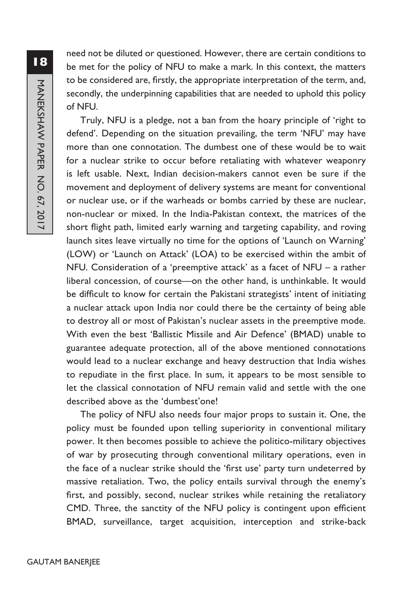need not be diluted or questioned. However, there are certain conditions to be met for the policy of NFU to make a mark. In this context, the matters to be considered are, firstly, the appropriate interpretation of the term, and, secondly, the underpinning capabilities that are needed to uphold this policy of NFU.

Truly, NFU is a pledge, not a ban from the hoary principle of 'right to defend'. Depending on the situation prevailing, the term 'NFU' may have more than one connotation. The dumbest one of these would be to wait for a nuclear strike to occur before retaliating with whatever weaponry is left usable. Next, Indian decision-makers cannot even be sure if the movement and deployment of delivery systems are meant for conventional or nuclear use, or if the warheads or bombs carried by these are nuclear, non-nuclear or mixed. In the India-Pakistan context, the matrices of the short flight path, limited early warning and targeting capability, and roving launch sites leave virtually no time for the options of 'Launch on Warning' (LOW) or 'Launch on Attack' (LOA) to be exercised within the ambit of NFU. Consideration of a 'preemptive attack' as a facet of NFU – a rather liberal concession, of course—on the other hand, is unthinkable. It would be difficult to know for certain the Pakistani strategists' intent of initiating a nuclear attack upon India nor could there be the certainty of being able to destroy all or most of Pakistan's nuclear assets in the preemptive mode. With even the best 'Ballistic Missile and Air Defence' (BMAD) unable to guarantee adequate protection, all of the above mentioned connotations would lead to a nuclear exchange and heavy destruction that India wishes to repudiate in the first place. In sum, it appears to be most sensible to let the classical connotation of NFU remain valid and settle with the one described above as the 'dumbest'one!

The policy of NFU also needs four major props to sustain it. One, the policy must be founded upon telling superiority in conventional military power. It then becomes possible to achieve the politico-military objectives of war by prosecuting through conventional military operations, even in the face of a nuclear strike should the 'first use' party turn undeterred by massive retaliation. Two, the policy entails survival through the enemy's first, and possibly, second, nuclear strikes while retaining the retaliatory CMD. Three, the sanctity of the NFU policy is contingent upon efficient BMAD, surveillance, target acquisition, interception and strike-back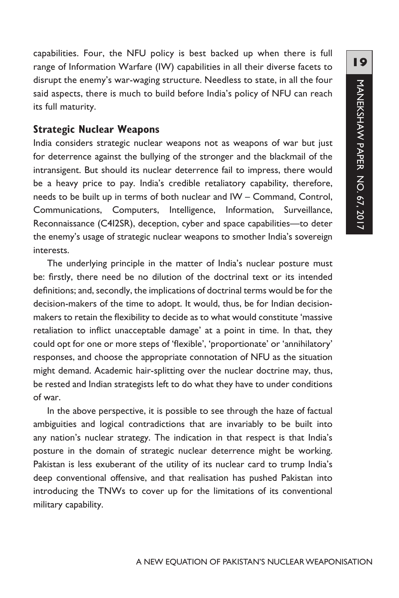capabilities. Four, the NFU policy is best backed up when there is full range of Information Warfare (IW) capabilities in all their diverse facets to disrupt the enemy's war-waging structure. Needless to state, in all the four said aspects, there is much to build before India's policy of NFU can reach its full maturity.

#### **Strategic Nuclear Weapons**

India considers strategic nuclear weapons not as weapons of war but just for deterrence against the bullying of the stronger and the blackmail of the intransigent. But should its nuclear deterrence fail to impress, there would be a heavy price to pay. India's credible retaliatory capability, therefore, needs to be built up in terms of both nuclear and IW – Command, Control, Communications, Computers, Intelligence, Information, Surveillance, Reconnaissance (C4I2SR), deception, cyber and space capabilities—to deter the enemy's usage of strategic nuclear weapons to smother India's sovereign interests.

The underlying principle in the matter of India's nuclear posture must be: firstly, there need be no dilution of the doctrinal text or its intended definitions; and, secondly, the implications of doctrinal terms would be for the decision-makers of the time to adopt. It would, thus, be for Indian decisionmakers to retain the flexibility to decide as to what would constitute 'massive retaliation to inflict unacceptable damage' at a point in time. In that, they could opt for one or more steps of 'flexible', 'proportionate' or 'annihilatory' responses, and choose the appropriate connotation of NFU as the situation might demand. Academic hair-splitting over the nuclear doctrine may, thus, be rested and Indian strategists left to do what they have to under conditions of war.

In the above perspective, it is possible to see through the haze of factual ambiguities and logical contradictions that are invariably to be built into any nation's nuclear strategy. The indication in that respect is that India's posture in the domain of strategic nuclear deterrence might be working. Pakistan is less exuberant of the utility of its nuclear card to trump India's deep conventional offensive, and that realisation has pushed Pakistan into introducing the TNWs to cover up for the limitations of its conventional military capability.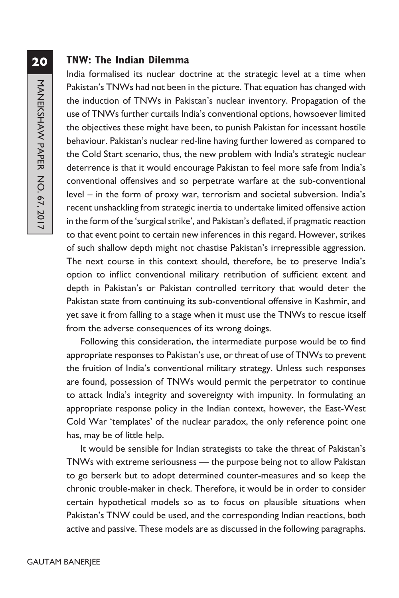#### **TNW: The Indian Dilemma**

India formalised its nuclear doctrine at the strategic level at a time when Pakistan's TNWs had not been in the picture. That equation has changed with the induction of TNWs in Pakistan's nuclear inventory. Propagation of the use of TNWs further curtails India's conventional options, howsoever limited the objectives these might have been, to punish Pakistan for incessant hostile behaviour. Pakistan's nuclear red-line having further lowered as compared to the Cold Start scenario, thus, the new problem with India's strategic nuclear deterrence is that it would encourage Pakistan to feel more safe from India's conventional offensives and so perpetrate warfare at the sub-conventional level – in the form of proxy war, terrorism and societal subversion. India's recent unshackling from strategic inertia to undertake limited offensive action in the form of the 'surgical strike', and Pakistan's deflated, if pragmatic reaction to that event point to certain new inferences in this regard. However, strikes of such shallow depth might not chastise Pakistan's irrepressible aggression. The next course in this context should, therefore, be to preserve India's option to inflict conventional military retribution of sufficient extent and depth in Pakistan's or Pakistan controlled territory that would deter the Pakistan state from continuing its sub-conventional offensive in Kashmir, and yet save it from falling to a stage when it must use the TNWs to rescue itself from the adverse consequences of its wrong doings.

Following this consideration, the intermediate purpose would be to find appropriate responses to Pakistan's use, or threat of use of TNWs to prevent the fruition of India's conventional military strategy. Unless such responses are found, possession of TNWs would permit the perpetrator to continue to attack India's integrity and sovereignty with impunity. In formulating an appropriate response policy in the Indian context, however, the East-West Cold War 'templates' of the nuclear paradox, the only reference point one has, may be of little help.

It would be sensible for Indian strategists to take the threat of Pakistan's TNWs with extreme seriousness — the purpose being not to allow Pakistan to go berserk but to adopt determined counter-measures and so keep the chronic trouble-maker in check. Therefore, it would be in order to consider certain hypothetical models so as to focus on plausible situations when Pakistan's TNW could be used, and the corresponding Indian reactions, both active and passive. These models are as discussed in the following paragraphs.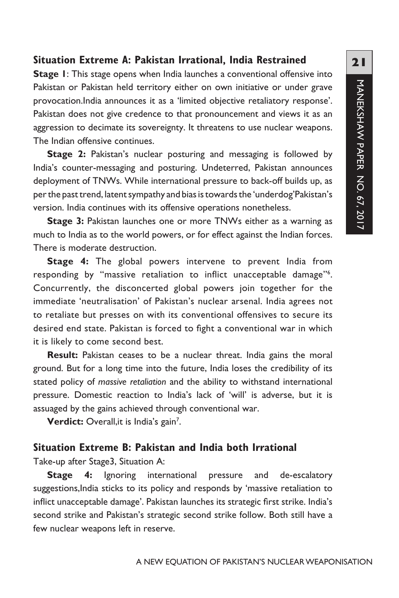#### **Situation Extreme A: Pakistan Irrational, India Restrained**

**Stage 1:** This stage opens when India launches a conventional offensive into Pakistan or Pakistan held territory either on own initiative or under grave provocation.India announces it as a 'limited objective retaliatory response'. Pakistan does not give credence to that pronouncement and views it as an aggression to decimate its sovereignty. It threatens to use nuclear weapons. The Indian offensive continues.

**Stage 2:** Pakistan's nuclear posturing and messaging is followed by India's counter-messaging and posturing. Undeterred, Pakistan announces deployment of TNWs. While international pressure to back-off builds up, as per the past trend, latent sympathy and bias is towards the 'underdog'Pakistan's version. India continues with its offensive operations nonetheless.

**Stage 3:** Pakistan launches one or more TNWs either as a warning as much to India as to the world powers, or for effect against the Indian forces. There is moderate destruction.

**Stage 4:** The global powers intervene to prevent India from responding by "massive retaliation to inflict unacceptable damage"<sup>6</sup>. Concurrently, the disconcerted global powers join together for the immediate 'neutralisation' of Pakistan's nuclear arsenal. India agrees not to retaliate but presses on with its conventional offensives to secure its desired end state. Pakistan is forced to fight a conventional war in which it is likely to come second best.

Result: Pakistan ceases to be a nuclear threat. India gains the moral ground. But for a long time into the future, India loses the credibility of its stated policy of *massive retaliation* and the ability to withstand international pressure. Domestic reaction to India's lack of 'will' is adverse, but it is assuaged by the gains achieved through conventional war.

**Verdict:** Overall, it is India's gain<sup>7</sup>.

#### **Situation Extreme B: Pakistan and India both Irrational**

Take-up after Stage3, Situation A:

**Stage 4:** Ignoring international pressure and de-escalatory suggestions, India sticks to its policy and responds by 'massive retaliation to inflict unacceptable damage'. Pakistan launches its strategic first strike. India's second strike and Pakistan's strategic second strike follow. Both still have a few nuclear weapons left in reserve.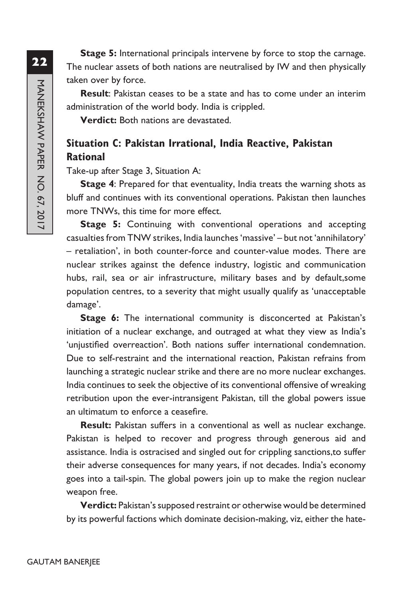**Stage 5:** International principals intervene by force to stop the carnage. The nuclear assets of both nations are neutralised by IW and then physically taken over by force.

**Result**: Pakistan ceases to be a state and has to come under an interim administration of the world body. India is crippled.

**Verdict:** Both nations are devastated.

## **Situation C: Pakistan Irrational, India Reactive, Pakistan Rational**

Take-up after Stage 3, Situation A:

**Stage 4**: Prepared for that eventuality, India treats the warning shots as bluff and continues with its conventional operations. Pakistan then launches more TNWs, this time for more effect.

**Stage 5:** Continuing with conventional operations and accepting casualties from TNW strikes, India launches 'massive' – but not 'annihilatory' – retaliation', in both counter-force and counter-value modes. There are nuclear strikes against the defence industry, logistic and communication hubs, rail, sea or air infrastructure, military bases and by default,some population centres, to a severity that might usually qualify as 'unacceptable damage'.

**Stage 6:** The international community is disconcerted at Pakistan's initiation of a nuclear exchange, and outraged at what they view as India's 'unjustified overreaction'. Both nations suffer international condemnation. Due to self-restraint and the international reaction, Pakistan refrains from launching a strategic nuclear strike and there are no more nuclear exchanges. India continues to seek the objective of its conventional offensive of wreaking retribution upon the ever-intransigent Pakistan, till the global powers issue an ultimatum to enforce a ceasefire.

**Result:** Pakistan suffers in a conventional as well as nuclear exchange. Pakistan is helped to recover and progress through generous aid and assistance. India is ostracised and singled out for crippling sanctions,to suffer their adverse consequences for many years, if not decades. India's economy goes into a tail-spin. The global powers join up to make the region nuclear weapon free.

**Verdict:** Pakistan's supposed restraint or otherwise would be determined by its powerful factions which dominate decision-making, viz, either the hate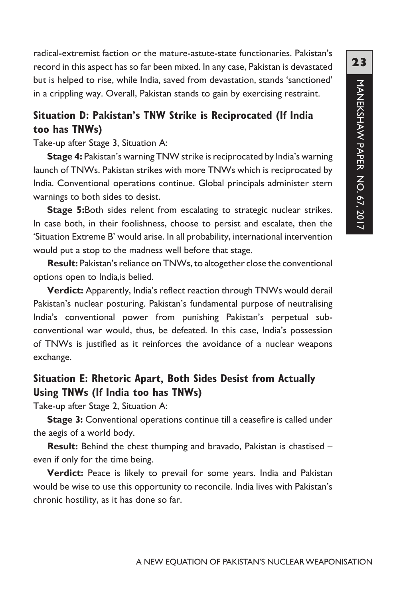radical-extremist faction or the mature-astute-state functionaries. Pakistan's record in this aspect has so far been mixed. In any case, Pakistan is devastated but is helped to rise, while India, saved from devastation, stands 'sanctioned' in a crippling way. Overall, Pakistan stands to gain by exercising restraint.

## **Situation D: Pakistan's TNW Strike is Reciprocated (If India too has TNWs)**

Take-up after Stage 3, Situation A:

**Stage 4:** Pakistan's warning TNW strike is reciprocated by India's warning launch of TNWs. Pakistan strikes with more TNWs which is reciprocated by India. Conventional operations continue. Global principals administer stern warnings to both sides to desist.

**Stage 5:**Both sides relent from escalating to strategic nuclear strikes. In case both, in their foolishness, choose to persist and escalate, then the 'Situation Extreme B' would arise. In all probability, international intervention would put a stop to the madness well before that stage.

**Result:** Pakistan's reliance on TNWs, to altogether close the conventional options open to India,is belied.

**Verdict:** Apparently, India's reflect reaction through TNWs would derail Pakistan's nuclear posturing. Pakistan's fundamental purpose of neutralising India's conventional power from punishing Pakistan's perpetual subconventional war would, thus, be defeated. In this case, India's possession of TNWs is justified as it reinforces the avoidance of a nuclear weapons exchange.

## **Situation E: Rhetoric Apart, Both Sides Desist from Actually Using TNWs (If India too has TNWs)**

Take-up after Stage 2, Situation A:

**Stage 3:** Conventional operations continue till a ceasefire is called under the aegis of a world body.

**Result:** Behind the chest thumping and bravado, Pakistan is chastised – even if only for the time being.

**Verdict:** Peace is likely to prevail for some years. India and Pakistan would be wise to use this opportunity to reconcile. India lives with Pakistan's chronic hostility, as it has done so far.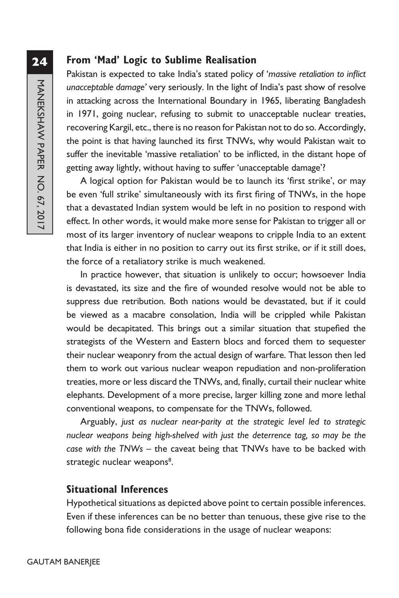## **From 'Mad' Logic to Sublime Realisation**

Pakistan is expected to take India's stated policy of '*massive retaliation to inflict unacceptable damage'* very seriously. In the light of India's past show of resolve in attacking across the International Boundary in 1965, liberating Bangladesh in 1971, going nuclear, refusing to submit to unacceptable nuclear treaties, recovering Kargil, etc., there is no reason for Pakistan not to do so. Accordingly, the point is that having launched its first TNWs, why would Pakistan wait to suffer the inevitable 'massive retaliation' to be inflicted, in the distant hope of getting away lightly, without having to suffer 'unacceptable damage'?

A logical option for Pakistan would be to launch its 'first strike', or may be even 'full strike' simultaneously with its first firing of TNWs, in the hope that a devastated Indian system would be left in no position to respond with effect. In other words, it would make more sense for Pakistan to trigger all or most of its larger inventory of nuclear weapons to cripple India to an extent that India is either in no position to carry out its first strike, or if it still does, the force of a retaliatory strike is much weakened.

In practice however, that situation is unlikely to occur; howsoever India is devastated, its size and the fire of wounded resolve would not be able to suppress due retribution. Both nations would be devastated, but if it could be viewed as a macabre consolation, India will be crippled while Pakistan would be decapitated. This brings out a similar situation that stupefied the strategists of the Western and Eastern blocs and forced them to sequester their nuclear weaponry from the actual design of warfare. That lesson then led them to work out various nuclear weapon repudiation and non-proliferation treaties, more or less discard the TNWs, and, finally, curtail their nuclear white elephants. Development of a more precise, larger killing zone and more lethal conventional weapons, to compensate for the TNWs, followed.

Arguably, *just as nuclear near-parity at the strategic level led to strategic nuclear weapons being high-shelved with just the deterrence tag, so may be the case with the TNWs* – the caveat being that TNWs have to be backed with strategic nuclear weapons<sup>8</sup>.

#### **Situational Inferences**

Hypothetical situations as depicted above point to certain possible inferences. Even if these inferences can be no better than tenuous, these give rise to the following bona fide considerations in the usage of nuclear weapons: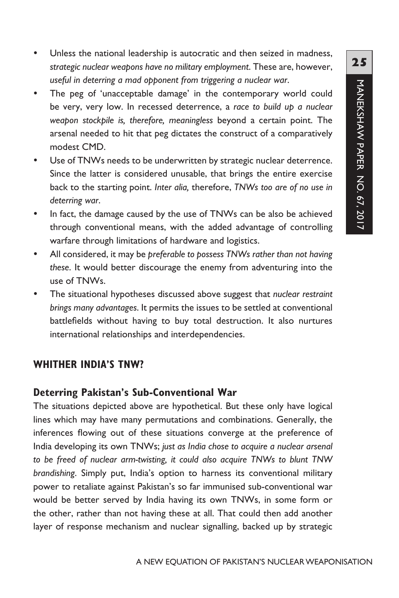- Unless the national leadership is autocratic and then seized in madness, *strategic nuclear weapons have no military employment*. These are, however, *useful in deterring a mad opponent from triggering a nuclear war*.
- The peg of 'unacceptable damage' in the contemporary world could be very, very low. In recessed deterrence, a *race to build up a nuclear weapon stockpile is, therefore, meaningless* beyond a certain point. The arsenal needed to hit that peg dictates the construct of a comparatively modest CMD.
- Use of TNWs needs to be underwritten by strategic nuclear deterrence. Since the latter is considered unusable, that brings the entire exercise back to the starting point. *Inter alia,* therefore, *TNWs too are of no use in deterring war*.
- In fact, the damage caused by the use of TNWs can be also be achieved through conventional means, with the added advantage of controlling warfare through limitations of hardware and logistics.
- y All considered, it may be *preferable to possess TNWs rather than not having these*. It would better discourage the enemy from adventuring into the use of TNWs.
- The situational hypotheses discussed above suggest that *nuclear restraint brings many advantages*. It permits the issues to be settled at conventional battlefields without having to buy total destruction. It also nurtures international relationships and interdependencies.

#### **WHITHER INDIA'S TNW?**

#### **Deterring Pakistan's Sub-Conventional War**

The situations depicted above are hypothetical. But these only have logical lines which may have many permutations and combinations. Generally, the inferences flowing out of these situations converge at the preference of India developing its own TNWs; *just as India chose to acquire a nuclear arsenal to be freed of nuclear arm-twisting, it could also acquire TNWs to blunt TNW brandishing*. Simply put, India's option to harness its conventional military power to retaliate against Pakistan's so far immunised sub-conventional war would be better served by India having its own TNWs, in some form or the other, rather than not having these at all. That could then add another layer of response mechanism and nuclear signalling, backed up by strategic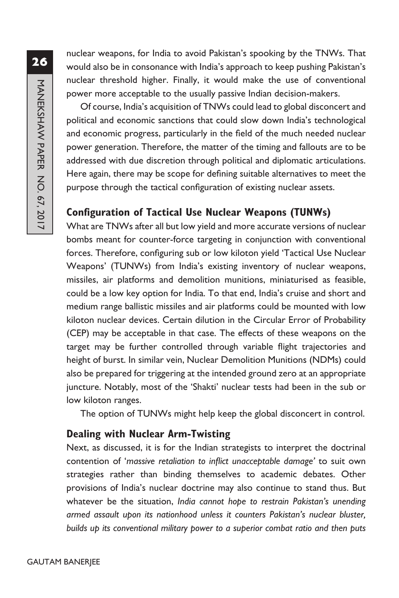nuclear weapons, for India to avoid Pakistan's spooking by the TNWs. That would also be in consonance with India's approach to keep pushing Pakistan's nuclear threshold higher. Finally, it would make the use of conventional power more acceptable to the usually passive Indian decision-makers.

Of course, India's acquisition of TNWs could lead to global disconcert and political and economic sanctions that could slow down India's technological and economic progress, particularly in the field of the much needed nuclear power generation. Therefore, the matter of the timing and fallouts are to be addressed with due discretion through political and diplomatic articulations. Here again, there may be scope for defining suitable alternatives to meet the purpose through the tactical configuration of existing nuclear assets.

## **Configuration of Tactical Use Nuclear Weapons (TUNWs)**

What are TNWs after all but low yield and more accurate versions of nuclear bombs meant for counter-force targeting in conjunction with conventional forces. Therefore, configuring sub or low kiloton yield 'Tactical Use Nuclear Weapons' (TUNWs) from India's existing inventory of nuclear weapons, missiles, air platforms and demolition munitions, miniaturised as feasible, could be a low key option for India. To that end, India's cruise and short and medium range ballistic missiles and air platforms could be mounted with low kiloton nuclear devices. Certain dilution in the Circular Error of Probability (CEP) may be acceptable in that case. The effects of these weapons on the target may be further controlled through variable flight trajectories and height of burst. In similar vein, Nuclear Demolition Munitions (NDMs) could also be prepared for triggering at the intended ground zero at an appropriate juncture. Notably, most of the 'Shakti' nuclear tests had been in the sub or low kiloton ranges.

The option of TUNWs might help keep the global disconcert in control.

#### **Dealing with Nuclear Arm-Twisting**

Next, as discussed, it is for the Indian strategists to interpret the doctrinal contention of '*massive retaliation to inflict unacceptable damage'* to suit own strategies rather than binding themselves to academic debates. Other provisions of India's nuclear doctrine may also continue to stand thus. But whatever be the situation, *India cannot hope to restrain Pakistan's unending armed assault upon its nationhood unless it counters Pakistan's nuclear bluster, builds up its conventional military power to a superior combat ratio and then puts*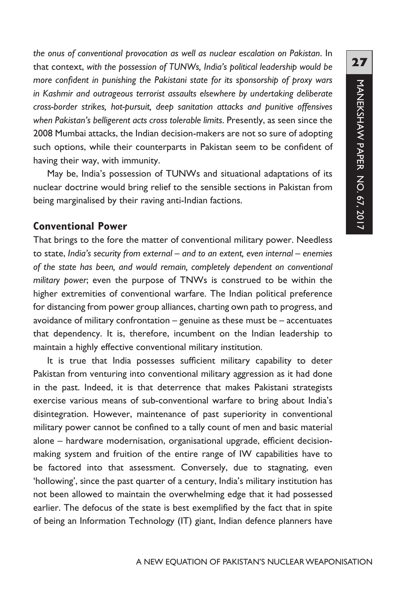*the onus of conventional provocation as well as nuclear escalation on Pakistan*. In that context, *with the possession of TUNWs, India's political leadership would be more confident in punishing the Pakistani state for its sponsorship of proxy wars in Kashmir and outrageous terrorist assaults elsewhere by undertaking deliberate cross-border strikes, hot-pursuit, deep sanitation attacks and punitive offensives when Pakistan's belligerent acts cross tolerable limits*. Presently, as seen since the 2008 Mumbai attacks, the Indian decision-makers are not so sure of adopting such options, while their counterparts in Pakistan seem to be confident of having their way, with immunity.

May be, India's possession of TUNWs and situational adaptations of its nuclear doctrine would bring relief to the sensible sections in Pakistan from being marginalised by their raving anti-Indian factions.

#### **Conventional Power**

That brings to the fore the matter of conventional military power. Needless to state, *India's security from external* – *and to an extent, even internal* – *enemies of the state has been, and would remain, completely dependent on conventional military power*; even the purpose of TNWs is construed to be within the higher extremities of conventional warfare. The Indian political preference for distancing from power group alliances, charting own path to progress, and avoidance of military confrontation – genuine as these must be – accentuates that dependency. It is, therefore, incumbent on the Indian leadership to maintain a highly effective conventional military institution.

It is true that India possesses sufficient military capability to deter Pakistan from venturing into conventional military aggression as it had done in the past. Indeed, it is that deterrence that makes Pakistani strategists exercise various means of sub-conventional warfare to bring about India's disintegration. However, maintenance of past superiority in conventional military power cannot be confined to a tally count of men and basic material alone – hardware modernisation, organisational upgrade, efficient decisionmaking system and fruition of the entire range of IW capabilities have to be factored into that assessment. Conversely, due to stagnating, even 'hollowing', since the past quarter of a century, India's military institution has not been allowed to maintain the overwhelming edge that it had possessed earlier. The defocus of the state is best exemplified by the fact that in spite of being an Information Technology (IT) giant, Indian defence planners have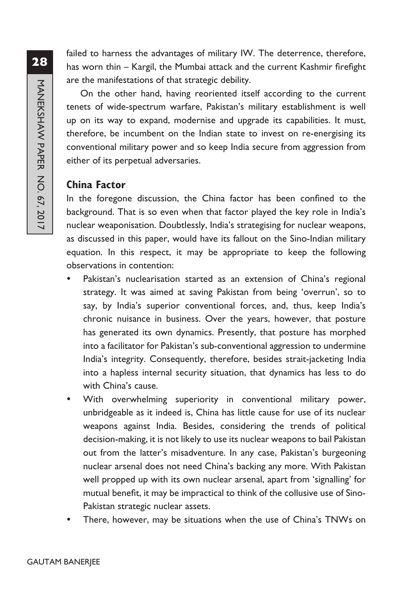failed to harness the advantages of military IW. The deterrence, therefore, has worn thin – Kargil, the Mumbai attack and the current Kashmir firefight are the manifestations of that strategic debility.

On the other hand, having reoriented itself according to the current tenets of wide-spectrum warfare, Pakistan's military establishment is well up on its way to expand, modernise and upgrade its capabilities. It must, therefore, be incumbent on the Indian state to invest on re-energising its conventional military power and so keep India secure from aggression from either of its perpetual adversaries.

#### **China Factor**

In the foregone discussion, the China factor has been confined to the background. That is so even when that factor played the key role in India's nuclear weaponisation. Doubtlessly, India's strategising for nuclear weapons, as discussed in this paper, would have its fallout on the Sino-Indian military equation. In this respect, it may be appropriate to keep the following observations in contention:

- Pakistan's nuclearisation started as an extension of China's regional strategy. It was aimed at saving Pakistan from being 'overrun', so to say, by India's superior conventional forces, and, thus, keep India's chronic nuisance in business. Over the years, however, that posture has generated its own dynamics. Presently, that posture has morphed into a facilitator for Pakistan's sub-conventional aggression to undermine India's integrity. Consequently, therefore, besides strait-jacketing India into a hapless internal security situation, that dynamics has less to do with China's cause.
- With overwhelming superiority in conventional military power, unbridgeable as it indeed is, China has little cause for use of its nuclear weapons against India. Besides, considering the trends of political decision-making, it is not likely to use its nuclear weapons to bail Pakistan out from the latter's misadventure. In any case, Pakistan's burgeoning nuclear arsenal does not need China's backing any more. With Pakistan well propped up with its own nuclear arsenal, apart from 'signalling' for mutual benefit, it may be impractical to think of the collusive use of Sino-Pakistan strategic nuclear assets.
- There, however, may be situations when the use of China's TNWs on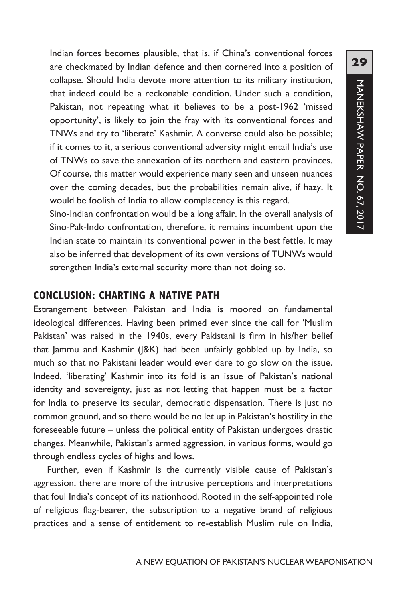Indian forces becomes plausible, that is, if China's conventional forces are checkmated by Indian defence and then cornered into a position of collapse. Should India devote more attention to its military institution, that indeed could be a reckonable condition. Under such a condition, Pakistan, not repeating what it believes to be a post-1962 'missed opportunity', is likely to join the fray with its conventional forces and TNWs and try to 'liberate' Kashmir. A converse could also be possible; if it comes to it, a serious conventional adversity might entail India's use of TNWs to save the annexation of its northern and eastern provinces. Of course, this matter would experience many seen and unseen nuances over the coming decades, but the probabilities remain alive, if hazy. It would be foolish of India to allow complacency is this regard.

Sino-Indian confrontation would be a long affair. In the overall analysis of Sino-Pak-Indo confrontation, therefore, it remains incumbent upon the Indian state to maintain its conventional power in the best fettle. It may also be inferred that development of its own versions of TUNWs would strengthen India's external security more than not doing so.

#### **CONCLUSION: CHARTING A NATIVE PATH**

Estrangement between Pakistan and India is moored on fundamental ideological differences. Having been primed ever since the call for 'Muslim Pakistan' was raised in the 1940s, every Pakistani is firm in his/her belief that Jammu and Kashmir (J&K) had been unfairly gobbled up by India, so much so that no Pakistani leader would ever dare to go slow on the issue. Indeed, 'liberating' Kashmir into its fold is an issue of Pakistan's national identity and sovereignty, just as not letting that happen must be a factor for India to preserve its secular, democratic dispensation. There is just no common ground, and so there would be no let up in Pakistan's hostility in the foreseeable future – unless the political entity of Pakistan undergoes drastic changes. Meanwhile, Pakistan's armed aggression, in various forms, would go through endless cycles of highs and lows.

Further, even if Kashmir is the currently visible cause of Pakistan's aggression, there are more of the intrusive perceptions and interpretations that foul India's concept of its nationhood. Rooted in the self-appointed role of religious flag-bearer, the subscription to a negative brand of religious practices and a sense of entitlement to re-establish Muslim rule on India,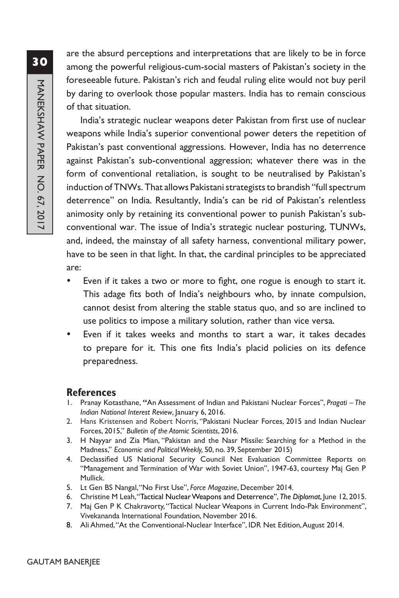are the absurd perceptions and interpretations that are likely to be in force among the powerful religious-cum-social masters of Pakistan's society in the foreseeable future. Pakistan's rich and feudal ruling elite would not buy peril by daring to overlook those popular masters. India has to remain conscious of that situation.

India's strategic nuclear weapons deter Pakistan from first use of nuclear weapons while India's superior conventional power deters the repetition of Pakistan's past conventional aggressions. However, India has no deterrence against Pakistan's sub-conventional aggression; whatever there was in the form of conventional retaliation, is sought to be neutralised by Pakistan's induction of TNWs. That allows Pakistani strategists to brandish "full spectrum deterrence" on India. Resultantly, India's can be rid of Pakistan's relentless animosity only by retaining its conventional power to punish Pakistan's subconventional war. The issue of India's strategic nuclear posturing, TUNWs, and, indeed, the mainstay of all safety harness, conventional military power, have to be seen in that light. In that, the cardinal principles to be appreciated are:

- Even if it takes a two or more to fight, one rogue is enough to start it. This adage fits both of India's neighbours who, by innate compulsion, cannot desist from altering the stable status quo, and so are inclined to use politics to impose a military solution, rather than vice versa.
- Even if it takes weeks and months to start a war, it takes decades to prepare for it. This one fits India's placid policies on its defence preparedness.

#### **References**

- 1. Pranay Kotasthane, **"**An Assessment of Indian and Pakistani Nuclear Forces", *Pragati The Indian National Interest Review*, January 6, 2016.
- 2. Hans Kristensen and Robert Norris, "Pakistani Nuclear Forces, 2015 and Indian Nuclear Forces, 2015," *Bulletin of the Atomic Scientists*, 2016.
- 3. H Nayyar and Zia Mian, "Pakistan and the Nasr Missile: Searching for a Method in the Madness," *Economic and Political Weekly,* 50, no. 39, September 2015)
- 4. Declassified US National Security Council Net Evaluation Committee Reports on "Management and Termination of War with Soviet Union", 1947-63, courtesy Maj Gen P Mullick.
- 5. Lt Gen BS Nangal, "No First Use", *Force Magazine*, December 2014.
- 6. Christine M Leah, "Tactical Nuclear Weapons and Deterrence", *The Diplomat*, June 12, 2015.
- 7. Maj Gen P K Chakravorty, "Tactical Nuclear Weapons in Current Indo-Pak Environment", Vivekananda International Foundation, November 2016.
- 8. Ali Ahmed,"At the Conventional-Nuclear Interface", IDR Net Edition,August 2014.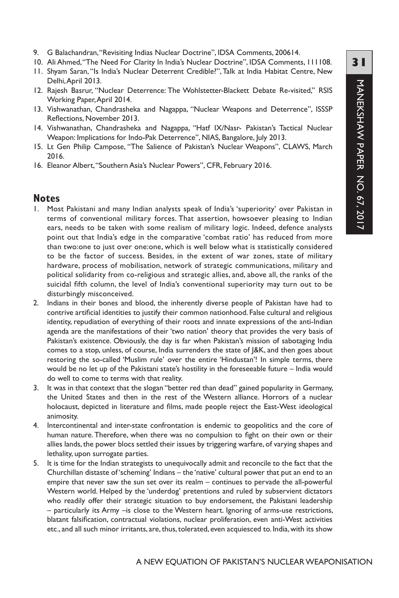- 9. G Balachandran, "Revisiting Indias Nuclear Doctrine", IDSA Comments, 200614.
- 10. Ali Ahmed, "The Need For Clarity In India's Nuclear Doctrine", IDSA Comments, 111108.
- 11. Shyam Saran, "Is India's Nuclear Deterrent Credible?", Talk at India Habitat Centre, New Delhi, April 2013.
- 12. Rajesh Basrur, "Nuclear Deterrence: The Wohlstetter-Blackett Debate Re-visited," RSIS Working Paper, April 2014.
- 13. Vishwanathan, Chandrasheka and Nagappa, "Nuclear Weapons and Deterrence", ISSSP Reflections, November 2013.
- 14. Vishwanathan, Chandrasheka and Nagappa, "Hatf IX/Nasr- Pakistan's Tactical Nuclear Weapon: Implications for Indo-Pak Deterrence", NIAS, Bangalore, July 2013.
- 15. Lt Gen Philip Campose, "The Salience of Pakistan's Nuclear Weapons", CLAWS, March 2016.
- 16. Eleanor Albert, "Southern Asia's Nuclear Powers", CFR, February 2016.

#### **Notes**

- 1. Most Pakistani and many Indian analysts speak of India's 'superiority' over Pakistan in terms of conventional military forces. That assertion, howsoever pleasing to Indian ears, needs to be taken with some realism of military logic. Indeed, defence analysts point out that India's edge in the comparative 'combat ratio' has reduced from more than two:one to just over one:one, which is well below what is statistically considered to be the factor of success. Besides, in the extent of war zones, state of military hardware, process of mobilisation, network of strategic communications, military and political solidarity from co-religious and strategic allies, and, above all, the ranks of the suicidal fifth column, the level of India's conventional superiority may turn out to be disturbingly misconceived.
- 2. Indians in their bones and blood, the inherently diverse people of Pakistan have had to contrive artificial identities to justify their common nationhood. False cultural and religious identity, repudiation of everything of their roots and innate expressions of the anti-Indian agenda are the manifestations of their 'two nation' theory that provides the very basis of Pakistan's existence. Obviously, the day is far when Pakistan's mission of sabotaging India comes to a stop, unless, of course, India surrenders the state of J&K, and then goes about restoring the so-called 'Muslim rule' over the entire 'Hindustan'! In simple terms, there would be no let up of the Pakistani state's hostility in the foreseeable future – India would do well to come to terms with that reality.
- 3. It was in that context that the slogan "better red than dead" gained popularity in Germany, the United States and then in the rest of the Western alliance. Horrors of a nuclear holocaust, depicted in literature and films, made people reject the East-West ideological animosity.
- 4. Intercontinental and inter-state confrontation is endemic to geopolitics and the core of human nature.Therefore, when there was no compulsion to fight on their own or their allies lands, the power blocs settled their issues by triggering warfare, of varying shapes and lethality, upon surrogate parties.
- 5. It is time for the Indian strategists to unequivocally admit and reconcile to the fact that the Churchillan distaste of 'scheming' Indians – the 'native' cultural power that put an end to an empire that never saw the sun set over its realm – continues to pervade the all-powerful Western world. Helped by the 'underdog' pretentions and ruled by subservient dictators who readily offer their strategic situation to buy endorsement, the Pakistani leadership – particularly its Army –is close to the Western heart. Ignoring of arms-use restrictions, blatant falsification, contractual violations, nuclear proliferation, even anti-West activities etc., and all such minor irritants, are, thus, tolerated, even acquiesced to. India, with its show